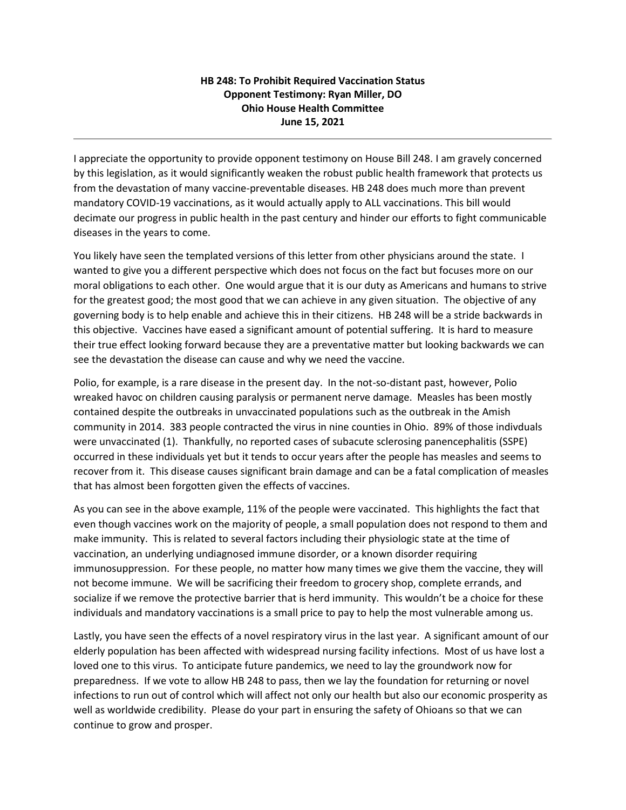## **HB 248: To Prohibit Required Vaccination Status Opponent Testimony: Ryan Miller, DO Ohio House Health Committee June 15, 2021**

I appreciate the opportunity to provide opponent testimony on House Bill 248. I am gravely concerned by this legislation, as it would significantly weaken the robust public health framework that protects us from the devastation of many vaccine-preventable diseases. HB 248 does much more than prevent mandatory COVID-19 vaccinations, as it would actually apply to ALL vaccinations. This bill would decimate our progress in public health in the past century and hinder our efforts to fight communicable diseases in the years to come.

You likely have seen the templated versions of this letter from other physicians around the state. I wanted to give you a different perspective which does not focus on the fact but focuses more on our moral obligations to each other. One would argue that it is our duty as Americans and humans to strive for the greatest good; the most good that we can achieve in any given situation. The objective of any governing body is to help enable and achieve this in their citizens. HB 248 will be a stride backwards in this objective. Vaccines have eased a significant amount of potential suffering. It is hard to measure their true effect looking forward because they are a preventative matter but looking backwards we can see the devastation the disease can cause and why we need the vaccine.

Polio, for example, is a rare disease in the present day. In the not-so-distant past, however, Polio wreaked havoc on children causing paralysis or permanent nerve damage. Measles has been mostly contained despite the outbreaks in unvaccinated populations such as the outbreak in the Amish community in 2014. 383 people contracted the virus in nine counties in Ohio. 89% of those indivduals were unvaccinated (1). Thankfully, no reported cases of subacute sclerosing panencephalitis (SSPE) occurred in these individuals yet but it tends to occur years after the people has measles and seems to recover from it. This disease causes significant brain damage and can be a fatal complication of measles that has almost been forgotten given the effects of vaccines.

As you can see in the above example, 11% of the people were vaccinated. This highlights the fact that even though vaccines work on the majority of people, a small population does not respond to them and make immunity. This is related to several factors including their physiologic state at the time of vaccination, an underlying undiagnosed immune disorder, or a known disorder requiring immunosuppression. For these people, no matter how many times we give them the vaccine, they will not become immune. We will be sacrificing their freedom to grocery shop, complete errands, and socialize if we remove the protective barrier that is herd immunity. This wouldn't be a choice for these individuals and mandatory vaccinations is a small price to pay to help the most vulnerable among us.

Lastly, you have seen the effects of a novel respiratory virus in the last year. A significant amount of our elderly population has been affected with widespread nursing facility infections. Most of us have lost a loved one to this virus. To anticipate future pandemics, we need to lay the groundwork now for preparedness. If we vote to allow HB 248 to pass, then we lay the foundation for returning or novel infections to run out of control which will affect not only our health but also our economic prosperity as well as worldwide credibility. Please do your part in ensuring the safety of Ohioans so that we can continue to grow and prosper.